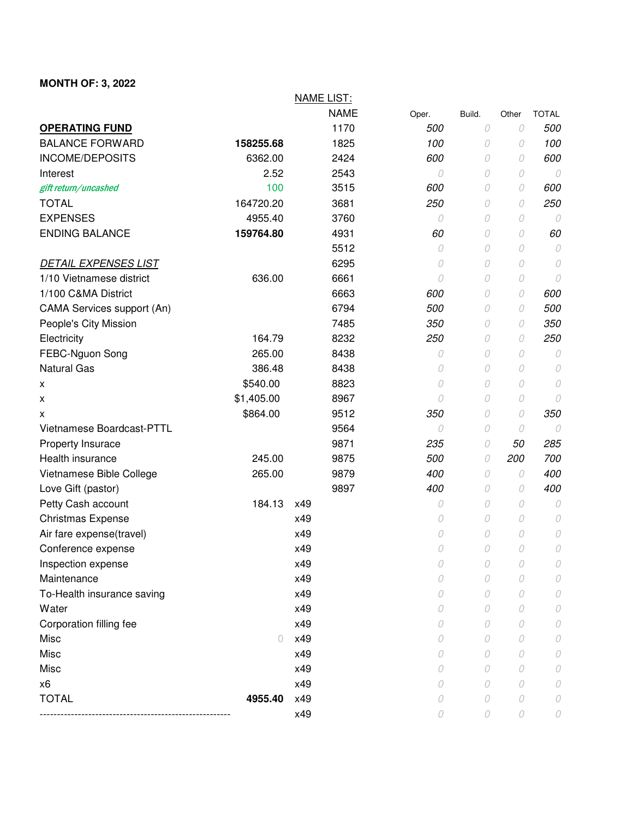## **MONTH OF: 3, 2022**

|                             |            | <b>NAME LIST:</b> |       |        |          |              |
|-----------------------------|------------|-------------------|-------|--------|----------|--------------|
|                             |            | <b>NAME</b>       | Oper. | Build. | Other    | <b>TOTAL</b> |
| <b>OPERATING FUND</b>       |            | 1170              | 500   | 0      | 0        | 500          |
| <b>BALANCE FORWARD</b>      | 158255.68  | 1825              | 100   | 0      | 0        | 100          |
| <b>INCOME/DEPOSITS</b>      | 6362.00    | 2424              | 600   | 0      | 0        | 600          |
| Interest                    | 2.52       | 2543              | 0     | 0      | 0        | 0            |
| gift return/uncashed        | 100        | 3515              | 600   | 0      | 0        | 600          |
| <b>TOTAL</b>                | 164720.20  | 3681              | 250   | 0      | 0        | 250          |
| <b>EXPENSES</b>             | 4955.40    | 3760              | 0     | 0      | 0        | 0            |
| <b>ENDING BALANCE</b>       | 159764.80  | 4931              | 60    | 0      | 0        | 60           |
|                             |            | 5512              | 0     | 0      | 0        | 0            |
| <b>DETAIL EXPENSES LIST</b> |            | 6295              | 0     | 0      | $\cal O$ | 0            |
| 1/10 Vietnamese district    | 636.00     | 6661              | 0     | 0      | 0        | 0            |
| 1/100 C&MA District         |            | 6663              | 600   | 0      | 0        | 600          |
| CAMA Services support (An)  |            | 6794              | 500   | 0      | 0        | 500          |
| People's City Mission       |            | 7485              | 350   | 0      | 0        | 350          |
| Electricity                 | 164.79     | 8232              | 250   | 0      | 0        | 250          |
| FEBC-Nguon Song             | 265.00     | 8438              | 0     | 0      | 0        | 0            |
| <b>Natural Gas</b>          | 386.48     | 8438              | 0     | 0      | 0        | 0            |
| X                           | \$540.00   | 8823              | 0     | 0      | 0        | 0            |
| X                           | \$1,405.00 | 8967              | 0     | 0      | 0        | 0            |
| х                           | \$864.00   | 9512              | 350   | 0      | 0        | 350          |
| Vietnamese Boardcast-PTTL   |            | 9564              | 0     | 0      | 0        | 0            |
| Property Insurace           |            | 9871              | 235   | 0      | 50       | 285          |
| Health insurance            | 245.00     | 9875              | 500   | 0      | 200      | 700          |
| Vietnamese Bible College    | 265.00     | 9879              | 400   | 0      | 0        | 400          |
| Love Gift (pastor)          |            | 9897              | 400   | 0      | 0        | 400          |
| Petty Cash account          | 184.13     | x49               | 0     | 0      | 0        | 0            |
| <b>Christmas Expense</b>    |            | x49               | 0     | 0      | 0        | 0            |
| Air fare expense(travel)    |            | x49               | 0     | 0      | 0        | 0            |
| Conference expense          |            | x49               | 0     | 0      | 0        | 0            |
| Inspection expense          |            | x49               | 0     | 0      | 0        | 0            |
| Maintenance                 |            | x49               | 0     | 0      | 0        | 0            |
| To-Health insurance saving  |            | x49               | 0     | 0      | 0        | 0            |
| Water                       |            | x49               | 0     | 0      | 0        | 0            |
| Corporation filling fee     |            | x49               | 0     | 0      | 0        | 0            |
| Misc                        | 0          | x49               | 0     | 0      | 0        | 0            |
| Misc                        |            | x49               | 0     | 0      | 0        | 0            |
| Misc                        |            | x49               | 0     | 0      | 0        | 0            |
| x <sub>6</sub>              |            | x49               | 0     | 0      | 0        | 0            |
| <b>TOTAL</b>                | 4955.40    | x49               | 0     | 0      | 0        | 0            |
|                             |            | x49               | 0     | 0      | 0        | 0            |